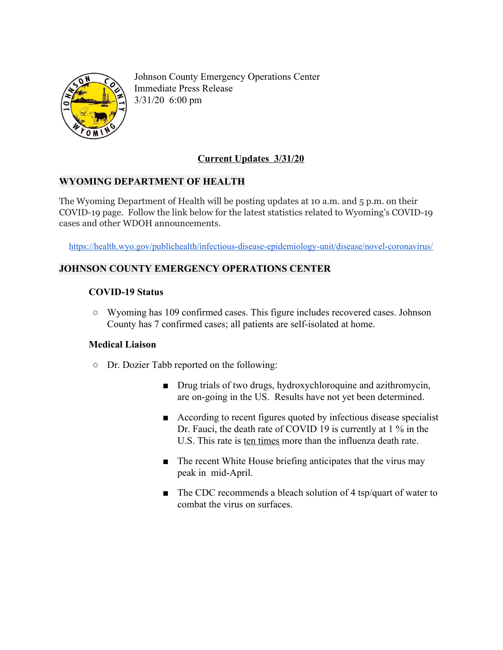

Johnson County Emergency Operations Center Immediate Press Release 3/31/20 6:00 pm

# **Current Updates 3/31/20**

### **WYOMING DEPARTMENT OF HEALTH**

The Wyoming Department of Health will be posting updates at 10 a.m. and 5 p.m. on their COVID-19 page. Follow the link below for the latest statistics related to Wyoming's COVID-19 cases and other WDOH announcements.

<https://health.wyo.gov/publichealth/infectious-disease-epidemiology-unit/disease/novel-coronavirus/>

# **JOHNSON COUNTY EMERGENCY OPERATIONS CENTER**

## **COVID-19 Status**

**○** Wyoming has 109 confirmed cases. This figure includes recovered cases. Johnson County has 7 confirmed cases; all patients are self-isolated at home.

### **Medical Liaison**

- **○** Dr. Dozier Tabb reported on the following:
	- Drug trials of two drugs, hydroxychloroquine and azithromycin, are on-going in the US. Results have not yet been determined.
	- According to recent figures quoted by infectious disease specialist Dr. Fauci, the death rate of COVID 19 is currently at 1 % in the U.S. This rate is ten times more than the influenza death rate.
	- The recent White House briefing anticipates that the virus may peak in mid-April.
	- The CDC recommends a bleach solution of 4 tsp/quart of water to combat the virus on surfaces.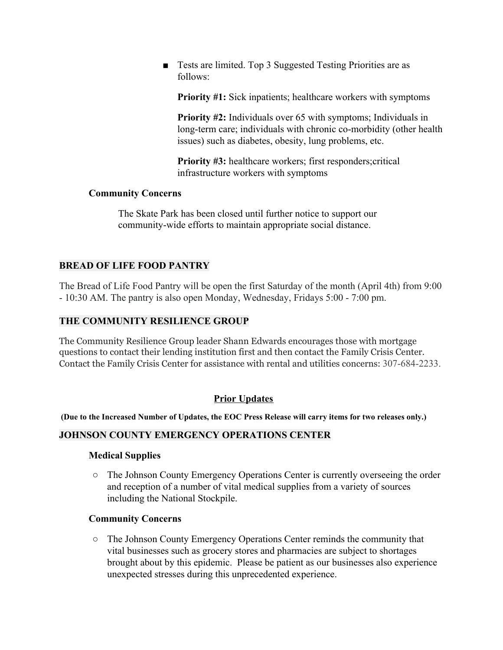■ Tests are limited. Top 3 Suggested Testing Priorities are as follows:

**Priority #1:** Sick inpatients; healthcare workers with symptoms

**Priority #2:** Individuals over 65 with symptoms; Individuals in long-term care; individuals with chronic co-morbidity (other health issues) such as diabetes, obesity, lung problems, etc.

**Priority #3:** healthcare workers; first responders;critical infrastructure workers with symptoms

#### **Community Concerns**

The Skate Park has been closed until further notice to support our community-wide efforts to maintain appropriate social distance.

## **BREAD OF LIFE FOOD PANTRY**

The Bread of Life Food Pantry will be open the first Saturday of the month (April 4th) from 9:00 - 10:30 AM. The pantry is also open Monday, Wednesday, Fridays 5:00 - 7:00 pm.

## **THE COMMUNITY RESILIENCE GROUP**

The Community Resilience Group leader Shann Edwards encourages those with mortgage questions to contact their lending institution first and then contact the Family Crisis Center. Contact the Family Crisis Center for assistance with rental and utilities concerns: 307-684-2233.

### **Prior Updates**

(Due to the Increased Number of Updates, the EOC Press Release will carry items for two releases only.)

# **JOHNSON COUNTY EMERGENCY OPERATIONS CENTER**

### **Medical Supplies**

**○** The Johnson County Emergency Operations Center is currently overseeing the order and reception of a number of vital medical supplies from a variety of sources including the National Stockpile.

### **Community Concerns**

**○** The Johnson County Emergency Operations Center reminds the community that vital businesses such as grocery stores and pharmacies are subject to shortages brought about by this epidemic. Please be patient as our businesses also experience unexpected stresses during this unprecedented experience.